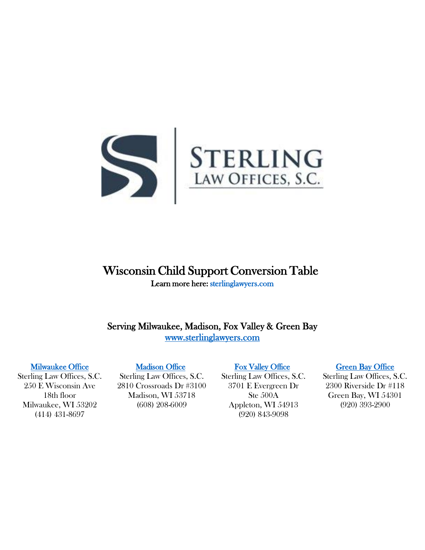

# Wisconsin Child Support Conversion Table Learn more here[: sterlinglawyers.com](https://www.sterlinglawyers.com/wisconsin/child-support/calculator/)

Serving Milwaukee, Madison, Fox Valley & Green Bay [www.sterlinglawyers.com](https://www.sterlinglawyers.com/wisconsin/) 

#### [Milwaukee Office](https://www.sterlinglawyers.com/wisconsin/locations/milwaukee/)

Sterling Law Offices, S.C. 250 E Wisconsin Ave 18th floor Milwaukee, WI 53202 (414) 431-8697

### [Madison Office](https://www.sterlinglawyers.com/wisconsin/locations/madison/)

Sterling Law Offices, S.C. 2810 Crossroads Dr #3100 Madison, WI 53718 (608) 208-6009

### [Fox Valley Office](https://www.sterlinglawyers.com/wisconsin/locations/appleton/)

Sterling Law Offices, S.C. 3701 E Evergreen Dr Ste 500A Appleton, WI 54913 (920) 843-9098

#### [Green Bay Office](https://www.sterlinglawyers.com/wisconsin/locations/green-bay/)

Sterling Law Offices, S.C. 2300 Riverside Dr #118 Green Bay, WI 54301 (920) 393-2900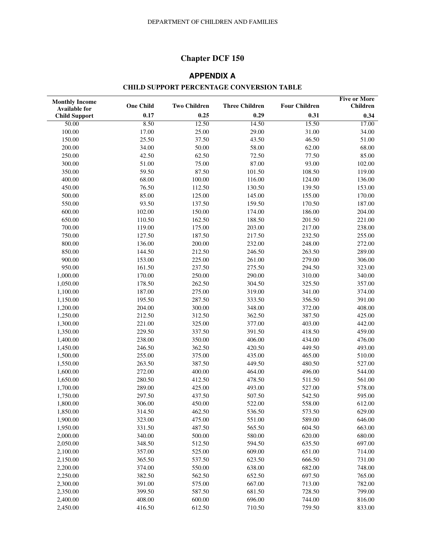# **Chapter DCF 150**

# **APPENDIX A**

## **CHILD SUPPORT PERCENTAGE CONVERSION TABLE**

| <b>Monthly Income</b>                        | <b>One Child</b> | <b>Two Children</b> | <b>Three Children</b> | <b>Four Children</b> | <b>Five or More</b><br><b>Children</b> |
|----------------------------------------------|------------------|---------------------|-----------------------|----------------------|----------------------------------------|
| <b>Available for</b><br><b>Child Support</b> | 0.17             | 0.25                | 0.29                  | 0.31                 | 0.34                                   |
| 50.00                                        | 8.50             | 12.50               | 14.50                 | 15.50                | 17.00                                  |
| 100.00                                       | 17.00            | 25.00               | 29.00                 | 31.00                | 34.00                                  |
| 150.00                                       | 25.50            | 37.50               | 43.50                 | 46.50                | 51.00                                  |
| 200.00                                       | 34.00            | 50.00               | 58.00                 | 62.00                | 68.00                                  |
| 250.00                                       | 42.50            | 62.50               | 72.50                 | 77.50                | 85.00                                  |
| 300.00                                       | 51.00            | 75.00               | 87.00                 | 93.00                | 102.00                                 |
| 350.00                                       | 59.50            | 87.50               | 101.50                | 108.50               | 119.00                                 |
| 400.00                                       | 68.00            | 100.00              | 116.00                | 124.00               | 136.00                                 |
| 450.00                                       | 76.50            | 112.50              | 130.50                | 139.50               | 153.00                                 |
| 500.00                                       | 85.00            | 125.00              | 145.00                | 155.00               | 170.00                                 |
| 550.00                                       | 93.50            | 137.50              | 159.50                | 170.50               | 187.00                                 |
| 600.00                                       | 102.00           | 150.00              | 174.00                | 186.00               | 204.00                                 |
| 650.00                                       | 110.50           | 162.50              | 188.50                | 201.50               | 221.00                                 |
| 700.00                                       | 119.00           | 175.00              | 203.00                | 217.00               | 238.00                                 |
| 750.00                                       | 127.50           | 187.50              | 217.50                | 232.50               | 255.00                                 |
| 800.00                                       | 136.00           | 200.00              | 232.00                | 248.00               | 272.00                                 |
| 850.00                                       | 144.50           | 212.50              | 246.50                | 263.50               | 289.00                                 |
| 900.00                                       | 153.00           | 225.00              | 261.00                | 279.00               | 306.00                                 |
| 950.00                                       | 161.50           | 237.50              | 275.50                | 294.50               | 323.00                                 |
| 1,000.00                                     | 170.00           | 250.00              | 290.00                | 310.00               | 340.00                                 |
| 1,050.00                                     | 178.50           | 262.50              | 304.50                | 325.50               | 357.00                                 |
| 1,100.00                                     | 187.00           | 275.00              | 319.00                | 341.00               | 374.00                                 |
| 1,150.00                                     | 195.50           | 287.50              | 333.50                | 356.50               | 391.00                                 |
| 1,200.00                                     | 204.00           | 300.00              | 348.00                | 372.00               | 408.00                                 |
| 1,250.00                                     | 212.50           | 312.50              | 362.50                | 387.50               | 425.00                                 |
| 1,300.00                                     | 221.00           | 325.00              | 377.00                | 403.00               | 442.00                                 |
| 1,350.00                                     | 229.50           | 337.50              | 391.50                | 418.50               | 459.00                                 |
| 1,400.00                                     | 238.00           | 350.00              | 406.00                | 434.00               | 476.00                                 |
| 1,450.00                                     | 246.50           | 362.50              | 420.50                | 449.50               | 493.00                                 |
| 1,500.00                                     | 255.00           | 375.00              | 435.00                | 465.00               | 510.00                                 |
| 1,550.00                                     | 263.50           | 387.50              | 449.50                | 480.50               | 527.00                                 |
| 1,600.00                                     | 272.00           | 400.00              | 464.00                | 496.00               | 544.00                                 |
| 1,650.00                                     | 280.50           | 412.50              | 478.50                | 511.50               | 561.00                                 |
| 1,700.00                                     | 289.00           | 425.00              | 493.00                | 527.00               | 578.00                                 |
| 1,750.00                                     | 297.50           | 437.50              | 507.50                | 542.50               | 595.00                                 |
| 1,800.00                                     | 306.00           | 450.00              | 522.00                | 558.00               | 612.00                                 |
| 1,850.00                                     | 314.50           | 462.50              | 536.50                | 573.50               | 629.00                                 |
| 1,900.00                                     | 323.00           | 475.00              | 551.00                | 589.00               | 646.00                                 |
| 1,950.00                                     | 331.50           | 487.50              | 565.50                | 604.50               | 663.00                                 |
| 2,000.00                                     | 340.00           | 500.00              | 580.00                | 620.00               | 680.00                                 |
| 2,050.00                                     | 348.50           | 512.50              | 594.50                | 635.50               | 697.00                                 |
| 2,100.00                                     | 357.00           | 525.00              | 609.00                | 651.00               | 714.00                                 |
| 2,150.00                                     | 365.50           | 537.50              | 623.50                | 666.50               | 731.00                                 |
| 2,200.00                                     | 374.00           | 550.00              | 638.00                | 682.00               | 748.00                                 |
| 2,250.00                                     | 382.50           | 562.50              | 652.50                | 697.50               | 765.00                                 |
| 2,300.00                                     | 391.00           | 575.00              | 667.00                | 713.00               | 782.00                                 |
| 2,350.00                                     | 399.50           | 587.50              | 681.50                | 728.50               | 799.00                                 |
| 2,400.00                                     | 408.00           | 600.00              | 696.00                | 744.00               | 816.00                                 |
| 2,450.00                                     | 416.50           | 612.50              | 710.50                | 759.50               | 833.00                                 |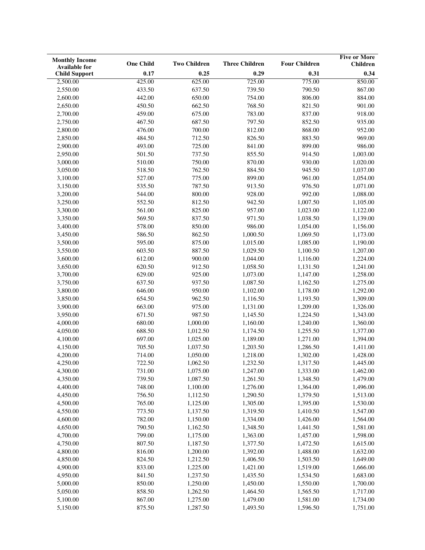| <b>Monthly Income</b> |                  |                     |                       |                      | <b>Five or More</b> |
|-----------------------|------------------|---------------------|-----------------------|----------------------|---------------------|
| <b>Available for</b>  | <b>One Child</b> | <b>Two Children</b> | <b>Three Children</b> | <b>Four Children</b> | <b>Children</b>     |
| <b>Child Support</b>  | 0.17             | 0.25                | 0.29                  | 0.31                 | 0.34                |
| 2,500.00              | 425.00           | 625.00              | 725.00                | 775.00               | 850.00              |
| 2,550.00              | 433.50           | 637.50              | 739.50                | 790.50               | 867.00              |
| 2,600.00              | 442.00           | 650.00              | 754.00                | 806.00               | 884.00              |
| 2,650.00              | 450.50           | 662.50              | 768.50                | 821.50               | 901.00              |
| 2,700.00              | 459.00           | 675.00              | 783.00                | 837.00               | 918.00              |
| 2,750.00              | 467.50           | 687.50              | 797.50                | 852.50               | 935.00              |
| 2,800.00              | 476.00           | 700.00              | 812.00                | 868.00               | 952.00              |
| 2,850.00              | 484.50           | 712.50              | 826.50                | 883.50               | 969.00              |
| 2,900.00              | 493.00           | 725.00              | 841.00                | 899.00               | 986.00              |
| 2,950.00              | 501.50           | 737.50              | 855.50                | 914.50               | 1,003.00            |
| 3,000.00              | 510.00           | 750.00              | 870.00                | 930.00               | 1,020.00            |
| 3,050.00              | 518.50           | 762.50              | 884.50                | 945.50               | 1,037.00            |
| 3,100.00              | 527.00           | 775.00              | 899.00                | 961.00               | 1,054.00            |
| 3,150.00              | 535.50           | 787.50              | 913.50                | 976.50               | 1,071.00            |
| 3,200.00              | 544.00           | 800.00              | 928.00                | 992.00               | 1,088.00            |
| 3,250.00              | 552.50           | 812.50              | 942.50                | 1,007.50             | 1,105.00            |
| 3,300.00              | 561.00           | 825.00              | 957.00                | 1,023.00             | 1,122.00            |
| 3,350.00              | 569.50           | 837.50              | 971.50                | 1,038.50             | 1,139.00            |
| 3,400.00              | 578.00           | 850.00              | 986.00                | 1,054.00             | 1,156.00            |
| 3,450.00              | 586.50           | 862.50              | 1,000.50              | 1,069.50             | 1,173.00            |
| 3,500.00              | 595.00           | 875.00              | 1,015.00              | 1,085.00             | 1,190.00            |
| 3,550.00              | 603.50           | 887.50              | 1,029.50              | 1,100.50             | 1,207.00            |
| 3,600.00              | 612.00           | 900.00              | 1,044.00              | 1,116.00             | 1,224.00            |
| 3,650.00              | 620.50           | 912.50              | 1,058.50              | 1,131.50             | 1,241.00            |
| 3,700.00              | 629.00           | 925.00              | 1,073.00              | 1,147.00             | 1,258.00            |
| 3,750.00              | 637.50           | 937.50              | 1,087.50              | 1,162.50             | 1,275.00            |
| 3,800.00              | 646.00           | 950.00              | 1,102.00              | 1,178.00             | 1,292.00            |
| 3,850.00              | 654.50           | 962.50              | 1,116.50              | 1,193.50             | 1,309.00            |
| 3,900.00              | 663.00           | 975.00              | 1,131.00              | 1,209.00             | 1,326.00            |
| 3,950.00              | 671.50           | 987.50              | 1,145.50              | 1,224.50             | 1,343.00            |
| 4,000.00              | 680.00           | 1,000.00            | 1,160.00              | 1,240.00             | 1,360.00            |
| 4,050.00              | 688.50           | 1,012.50            | 1,174.50              | 1,255.50             | 1,377.00            |
| 4,100.00              | 697.00           | 1,025.00            | 1,189.00              | 1,271.00             | 1,394.00            |
| 4,150.00              | 705.50           | 1,037.50            | 1,203.50              | 1,286.50             | 1,411.00            |
| 4,200.00              | 714.00           | 1,050.00            | 1,218.00              | 1,302.00             | 1,428.00            |
| 4,250.00              | 722.50           | 1,062.50            | 1,232.50              | 1,317.50             | 1,445.00            |
| 4,300.00              | 731.00           | 1,075.00            | 1,247.00              | 1,333.00             | 1,462.00            |
| 4,350.00              | 739.50           | 1,087.50            | 1,261.50              | 1,348.50             | 1,479.00            |
| 4,400.00              | 748.00           | 1,100.00            | 1,276.00              | 1,364.00             | 1,496.00            |
| 4,450.00              | 756.50           | 1,112.50            | 1,290.50              | 1,379.50             | 1,513.00            |
| 4,500.00              | 765.00           | 1,125.00            | 1,305.00              | 1,395.00             | 1,530.00            |
| 4,550.00              | 773.50           | 1,137.50            | 1,319.50              | 1,410.50             | 1,547.00            |
| 4,600.00              | 782.00           | 1,150.00            | 1,334.00              | 1,426.00             | 1,564.00            |
| 4,650.00              | 790.50           | 1,162.50            | 1,348.50              | 1,441.50             | 1,581.00            |
| 4,700.00              | 799.00           | 1,175.00            | 1,363.00              | 1,457.00             | 1,598.00            |
| 4,750.00              | 807.50           | 1,187.50            | 1,377.50              | 1,472.50             | 1,615.00            |
| 4,800.00              | 816.00           | 1,200.00            | 1,392.00              | 1,488.00             | 1,632.00            |
| 4,850.00              | 824.50           | 1,212.50            | 1,406.50              | 1,503.50             | 1,649.00            |
| 4,900.00              | 833.00           | 1,225.00            | 1,421.00              | 1,519.00             | 1,666.00            |
| 4,950.00              | 841.50           | 1,237.50            | 1,435.50              | 1,534.50             | 1,683.00            |
| 5,000.00              | 850.00           | 1,250.00            | 1,450.00              | 1,550.00             | 1,700.00            |
| 5,050.00              | 858.50           | 1,262.50            | 1,464.50              | 1,565.50             | 1,717.00            |
| 5,100.00              | 867.00           | 1,275.00            | 1,479.00              | 1,581.00             | 1,734.00            |
| 5,150.00              | 875.50           | 1,287.50            | 1,493.50              | 1,596.50             | 1,751.00            |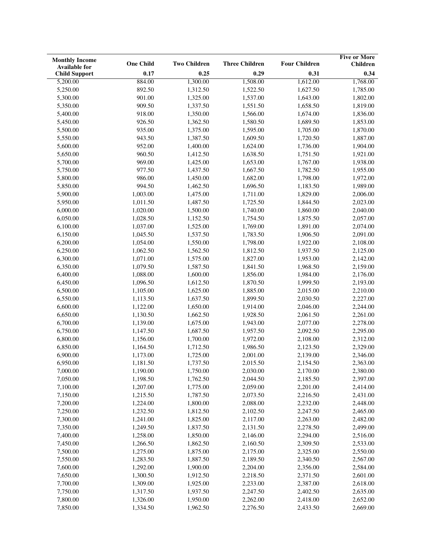| <b>Monthly Income</b> |                  |                     |                       |                      | <b>Five or More</b> |
|-----------------------|------------------|---------------------|-----------------------|----------------------|---------------------|
| <b>Available for</b>  | <b>One Child</b> | <b>Two Children</b> | <b>Three Children</b> | <b>Four Children</b> | <b>Children</b>     |
| <b>Child Support</b>  | 0.17             | 0.25                | 0.29                  | 0.31                 | 0.34                |
| 5,200.00              | 884.00           | 1,300.00            | 1,508.00              | 1,612.00             | 1,768.00            |
| 5,250.00              | 892.50           | 1,312.50            | 1,522.50              | 1,627.50             | 1,785.00            |
| 5,300.00              | 901.00           | 1,325.00            | 1,537.00              | 1,643.00             | 1,802.00            |
| 5,350.00              | 909.50           | 1,337.50            | 1,551.50              | 1,658.50             | 1,819.00            |
| 5,400.00              | 918.00           | 1,350.00            | 1,566.00              | 1,674.00             | 1,836.00            |
| 5,450.00              | 926.50           | 1,362.50            | 1,580.50              | 1,689.50             | 1,853.00            |
| 5,500.00              | 935.00           | 1,375.00            | 1,595.00              | 1,705.00             | 1,870.00            |
| 5,550.00              | 943.50           | 1,387.50            | 1,609.50              | 1,720.50             | 1,887.00            |
| 5,600.00              | 952.00           | 1,400.00            | 1,624.00              | 1,736.00             | 1,904.00            |
| 5,650.00              | 960.50           | 1,412.50            | 1,638.50              | 1,751.50             | 1,921.00            |
| 5,700.00              | 969.00           | 1,425.00            | 1,653.00              | 1,767.00             | 1,938.00            |
| 5,750.00              | 977.50           | 1,437.50            | 1,667.50              | 1,782.50             | 1,955.00            |
| 5,800.00              | 986.00           | 1,450.00            | 1,682.00              | 1,798.00             | 1,972.00            |
| 5,850.00              | 994.50           | 1,462.50            | 1,696.50              | 1,183.50             | 1,989.00            |
| 5,900.00              | 1,003.00         | 1,475.00            | 1,711.00              | 1,829.00             | 2,006.00            |
| 5,950.00              | 1,011.50         | 1,487.50            | 1,725.50              | 1,844.50             | 2,023.00            |
| 6,000.00              | 1,020.00         | 1,500.00            | 1,740.00              | 1,860.00             | 2,040.00            |
| 6,050.00              | 1,028.50         | 1,152.50            | 1,754.50              | 1,875.50             | 2,057.00            |
| 6,100.00              | 1,037.00         | 1,525.00            | 1,769.00              | 1,891.00             | 2,074.00            |
| 6,150.00              | 1,045.50         | 1,537.50            | 1,783.50              | 1,906.50             | 2,091.00            |
| 6,200.00              | 1,054.00         | 1,550.00            | 1,798.00              | 1,922.00             | 2,108.00            |
| 6,250.00              | 1,062.50         | 1,562.50            | 1,812.50              | 1,937.50             | 2,125.00            |
| 6,300.00              | 1,071.00         | 1,575.00            | 1,827.00              | 1,953.00             | 2,142.00            |
| 6,350.00              | 1,079.50         | 1,587.50            | 1,841.50              | 1,968.50             | 2,159.00            |
| 6,400.00              | 1,088.00         | 1,600.00            | 1,856.00              | 1,984.00             | 2,176.00            |
| 6,450.00              | 1,096.50         | 1,612.50            | 1,870.50              | 1,999.50             | 2,193.00            |
| 6,500.00              | 1,105.00         | 1,625.00            | 1,885.00              | 2,015.00             | 2,210.00            |
| 6,550.00              | 1,113.50         | 1,637.50            | 1,899.50              | 2,030.50             | 2,227.00            |
| 6,600.00              | 1,122.00         | 1,650.00            | 1,914.00              | 2,046.00             | 2,244.00            |
| 6,650.00              | 1,130.50         | 1,662.50            | 1,928.50              | 2,061.50             | 2,261.00            |
| 6,700.00              | 1,139.00         | 1,675.00            | 1,943.00              | 2,077.00             | 2,278.00            |
| 6,750.00              | 1,147.50         | 1,687.50            | 1,957.50              | 2,092.50             | 2,295.00            |
| 6,800.00              | 1,156.00         | 1,700.00            | 1,972.00              | 2,108.00             | 2,312.00            |
| 6,850.00              | 1,164.50         | 1,712.50            | 1,986.50              | 2,123.50             | 2,329.00            |
| 6,900.00              | 1,173.00         | 1,725.00            | 2,001.00              | 2,139.00             | 2,346.00            |
| 6,950.00              | 1,181.50         | 1,737.50            | 2,015.50              | 2,154.50             | 2,363.00            |
| 7,000.00              | 1,190.00         | 1,750.00            | 2,030.00              | 2,170.00             | 2,380.00            |
| 7,050.00              | 1,198.50         | 1,762.50            | 2,044.50              | 2,185.50             | 2,397.00            |
| 7,100.00              | 1,207.00         | 1,775.00            | 2,059.00              | 2,201.00             | 2,414.00            |
| 7,150.00              | 1,215.50         | 1,787.50            | 2,073.50              | 2,216.50             | 2,431.00            |
| 7,200.00              | 1,224.00         | 1,800.00            | 2,088.00              | 2,232.00             | 2,448.00            |
| 7,250.00              | 1,232.50         | 1,812.50            | 2,102.50              | 2,247.50             | 2,465.00            |
| 7,300.00              | 1,241.00         | 1,825.00            | 2,117.00              | 2,263.00             | 2,482.00            |
| 7,350.00              | 1,249.50         | 1,837.50            | 2,131.50              | 2,278.50             | 2,499.00            |
| 7,400.00              | 1,258.00         | 1,850.00            | 2,146.00              | 2,294.00             | 2,516.00            |
| 7,450.00              | 1,266.50         | 1,862.50            | 2,160.50              | 2,309.50             | 2,533.00            |
| 7,500.00              | 1,275.00         | 1,875.00            | 2,175.00              | 2,325.00             | 2,550.00            |
| 7,550.00              | 1,283.50         | 1,887.50            | 2,189.50              | 2,340.50             | 2,567.00            |
| 7,600.00              | 1,292.00         | 1,900.00            | 2,204.00              | 2,356.00             | 2,584.00            |
| 7,650.00              | 1,300.50         | 1,912.50            | 2,218.50              | 2,371.50             | 2,601.00            |
| 7,700.00              | 1,309.00         | 1,925.00            | 2,233.00              | 2,387.00             | 2,618.00            |
| 7,750.00              | 1,317.50         | 1,937.50            | 2,247.50              | 2,402.50             | 2,635.00            |
| 7,800.00              | 1,326.00         | 1,950.00            | 2,262.00              | 2,418.00             | 2,652.00            |
| 7,850.00              | 1,334.50         | 1,962.50            | 2,276.50              | 2,433.50             | 2,669.00            |